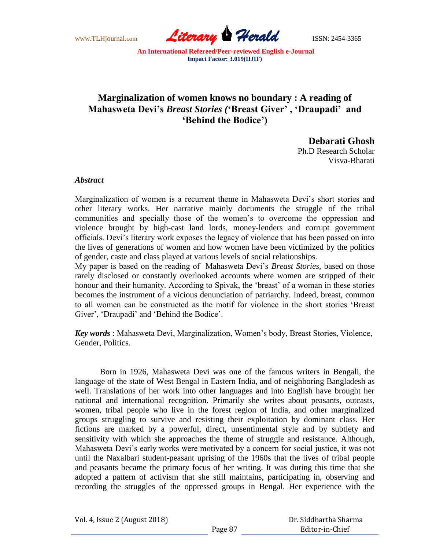www.TLHjournal.com *Literary Herald*ISSN: 2454-3365

## **Marginalization of women knows no boundary : A reading of Mahasweta Devi's** *Breast Stories (***'Breast Giver' , 'Draupadi' and 'Behind the Bodice')**

**Debarati Ghosh** 

Ph.D Research Scholar Visva-Bharati

## *Abstract*

Marginalization of women is a recurrent theme in Mahasweta Devi"s short stories and other literary works. Her narrative mainly documents the struggle of the tribal communities and specially those of the women"s to overcome the oppression and violence brought by high-cast land lords, money-lenders and corrupt government officials. Devi"s literary work exposes the legacy of violence that has been passed on into the lives of generations of women and how women have been victimized by the politics of gender, caste and class played at various levels of social relationships.

My paper is based on the reading of Mahasweta Devi"s *Breast Stories,* based on those rarely disclosed or constantly overlooked accounts where women are stripped of their honour and their humanity. According to Spivak, the 'breast' of a woman in these stories becomes the instrument of a vicious denunciation of patriarchy. Indeed, breast, common to all women can be constructed as the motif for violence in the short stories "Breast Giver', 'Draupadi' and 'Behind the Bodice'.

*Key words* : Mahasweta Devi, Marginalization, Women"s body, Breast Stories, Violence, Gender, Politics.

Born in 1926, Mahasweta Devi was one of the famous writers in Bengali, the language of the state of West Bengal in Eastern India, and of neighboring Bangladesh as well. Translations of her work into other languages and into English have brought her national and international recognition. Primarily she writes about peasants, outcasts, women, tribal people who live in the forest region of India, and other marginalized groups struggling to survive and resisting their exploitation by dominant class. Her fictions are marked by a powerful, direct, unsentimental style and by subtlety and sensitivity with which she approaches the theme of struggle and resistance. Although, Mahasweta Devi"s early works were motivated by a concern for social justice, it was not until the Naxalbari student-peasant uprising of the 1960s that the lives of tribal people and peasants became the primary focus of her writing. It was during this time that she adopted a pattern of activism that she still maintains, participating in, observing and recording the struggles of the oppressed groups in Bengal. Her experience with the

Vol. 4, Issue 2 (August 2018)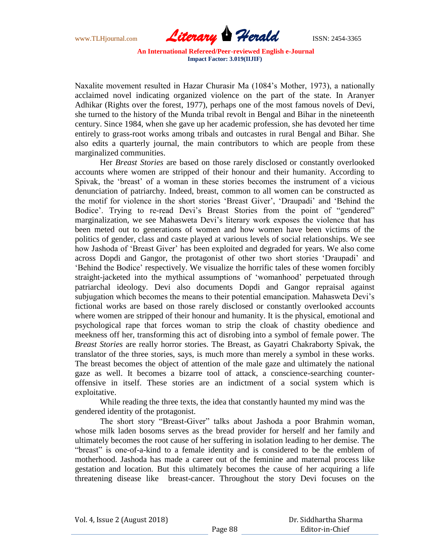

Naxalite movement resulted in Hazar Churasir Ma (1084"s Mother, 1973), a nationally acclaimed novel indicating organized violence on the part of the state. In Aranyer Adhikar (Rights over the forest, 1977), perhaps one of the most famous novels of Devi, she turned to the history of the Munda tribal revolt in Bengal and Bihar in the nineteenth century. Since 1984, when she gave up her academic profession, she has devoted her time entirely to grass-root works among tribals and outcastes in rural Bengal and Bihar. She also edits a quarterly journal, the main contributors to which are people from these marginalized communities.

Her *Breast Stories* are based on those rarely disclosed or constantly overlooked accounts where women are stripped of their honour and their humanity. According to Spivak, the "breast" of a woman in these stories becomes the instrument of a vicious denunciation of patriarchy. Indeed, breast, common to all women can be constructed as the motif for violence in the short stories "Breast Giver", "Draupadi" and "Behind the Bodice'. Trying to re-read Devi's Breast Stories from the point of "gendered" marginalization, we see Mahasweta Devi"s literary work exposes the violence that has been meted out to generations of women and how women have been victims of the politics of gender, class and caste played at various levels of social relationships. We see how Jashoda of "Breast Giver" has been exploited and degraded for years. We also come across Dopdi and Gangor, the protagonist of other two short stories "Draupadi" and "Behind the Bodice" respectively. We visualize the horrific tales of these women forcibly straight-jacketed into the mythical assumptions of "womanhood" perpetuated through patriarchal ideology. Devi also documents Dopdi and Gangor repraisal against subjugation which becomes the means to their potential emancipation. Mahasweta Devi"s fictional works are based on those rarely disclosed or constantly overlooked accounts where women are stripped of their honour and humanity. It is the physical, emotional and psychological rape that forces woman to strip the cloak of chastity obedience and meekness off her, transforming this act of disrobing into a symbol of female power. The *Breast Stories* are really horror stories. The Breast, as Gayatri Chakraborty Spivak, the translator of the three stories, says, is much more than merely a symbol in these works. The breast becomes the object of attention of the male gaze and ultimately the national gaze as well. It becomes a bizarre tool of attack, a conscience-searching counteroffensive in itself. These stories are an indictment of a social system which is exploitative.

While reading the three texts, the idea that constantly haunted my mind was the gendered identity of the protagonist.

The short story "Breast-Giver" talks about Jashoda a poor Brahmin woman, whose milk laden bosoms serves as the bread provider for herself and her family and ultimately becomes the root cause of her suffering in isolation leading to her demise. The "breast" is one-of-a-kind to a female identity and is considered to be the emblem of motherhood. Jashoda has made a career out of the feminine and maternal process like gestation and location. But this ultimately becomes the cause of her acquiring a life threatening disease like breast-cancer. Throughout the story Devi focuses on the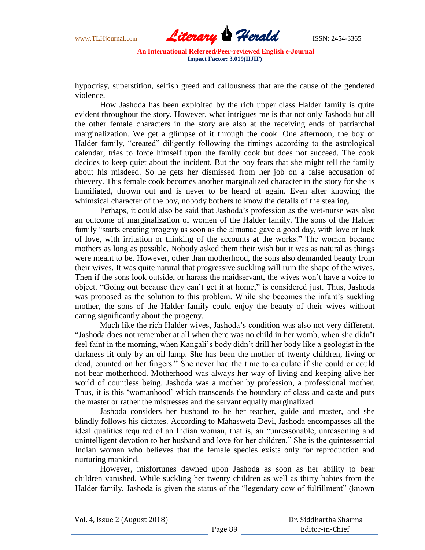

hypocrisy, superstition, selfish greed and callousness that are the cause of the gendered violence.

How Jashoda has been exploited by the rich upper class Halder family is quite evident throughout the story. However, what intrigues me is that not only Jashoda but all the other female characters in the story are also at the receiving ends of patriarchal marginalization. We get a glimpse of it through the cook. One afternoon, the boy of Halder family, "created" diligently following the timings according to the astrological calendar, tries to force himself upon the family cook but does not succeed. The cook decides to keep quiet about the incident. But the boy fears that she might tell the family about his misdeed. So he gets her dismissed from her job on a false accusation of thievery. This female cook becomes another marginalized character in the story for she is humiliated, thrown out and is never to be heard of again. Even after knowing the whimsical character of the boy, nobody bothers to know the details of the stealing.

Perhaps, it could also be said that Jashoda"s profession as the wet-nurse was also an outcome of marginalization of women of the Halder family. The sons of the Halder family "starts creating progeny as soon as the almanac gave a good day, with love or lack of love, with irritation or thinking of the accounts at the works." The women became mothers as long as possible. Nobody asked them their wish but it was as natural as things were meant to be. However, other than motherhood, the sons also demanded beauty from their wives. It was quite natural that progressive suckling will ruin the shape of the wives. Then if the sons look outside, or harass the maidservant, the wives won"t have a voice to object. "Going out because they can"t get it at home," is considered just. Thus, Jashoda was proposed as the solution to this problem. While she becomes the infant's suckling mother, the sons of the Halder family could enjoy the beauty of their wives without caring significantly about the progeny.

Much like the rich Halder wives, Jashoda"s condition was also not very different. "Jashoda does not remember at all when there was no child in her womb, when she didn"t feel faint in the morning, when Kangali"s body didn"t drill her body like a geologist in the darkness lit only by an oil lamp. She has been the mother of twenty children, living or dead, counted on her fingers." She never had the time to calculate if she could or could not bear motherhood. Motherhood was always her way of living and keeping alive her world of countless being. Jashoda was a mother by profession, a professional mother. Thus, it is this "womanhood" which transcends the boundary of class and caste and puts the master or rather the mistresses and the servant equally marginalized.

Jashoda considers her husband to be her teacher, guide and master, and she blindly follows his dictates. According to Mahasweta Devi, Jashoda encompasses all the ideal qualities required of an Indian woman, that is, an "unreasonable, unreasoning and unintelligent devotion to her husband and love for her children." She is the quintessential Indian woman who believes that the female species exists only for reproduction and nurturing mankind.

However, misfortunes dawned upon Jashoda as soon as her ability to bear children vanished. While suckling her twenty children as well as thirty babies from the Halder family, Jashoda is given the status of the "legendary cow of fulfillment" (known

Vol. 4, Issue 2 (August 2018)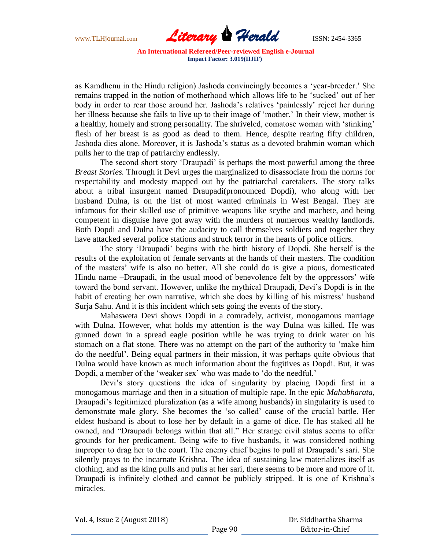

as Kamdhenu in the Hindu religion) Jashoda convincingly becomes a "year-breeder." She remains trapped in the notion of motherhood which allows life to be "sucked" out of her body in order to rear those around her. Jashoda's relatives 'painlessly' reject her during her illness because she fails to live up to their image of "mother." In their view, mother is a healthy, homely and strong personality. The shriveled, comatose woman with "stinking" flesh of her breast is as good as dead to them. Hence, despite rearing fifty children, Jashoda dies alone. Moreover, it is Jashoda"s status as a devoted brahmin woman which pulls her to the trap of patriarchy endlessly.

The second short story "Draupadi" is perhaps the most powerful among the three *Breast Stories.* Through it Devi urges the marginalized to disassociate from the norms for respectability and modesty mapped out by the patriarchal caretakers. The story talks about a tribal insurgent named Draupadi(pronounced Dopdi), who along with her husband Dulna, is on the list of most wanted criminals in West Bengal. They are infamous for their skilled use of primitive weapons like scythe and machete, and being competent in disguise have got away with the murders of numerous wealthy landlords. Both Dopdi and Dulna have the audacity to call themselves soldiers and together they have attacked several police stations and struck terror in the hearts of police officrs.

The story "Draupadi" begins with the birth history of Dopdi. She herself is the results of the exploitation of female servants at the hands of their masters. The condition of the masters" wife is also no better. All she could do is give a pious, domesticated Hindu name –Draupadi, in the usual mood of benevolence felt by the oppressors' wife toward the bond servant. However, unlike the mythical Draupadi, Devi"s Dopdi is in the habit of creating her own narrative, which she does by killing of his mistress' husband Surja Sahu. And it is this incident which sets going the events of the story.

Mahasweta Devi shows Dopdi in a comradely, activist, monogamous marriage with Dulna. However, what holds my attention is the way Dulna was killed. He was gunned down in a spread eagle position while he was trying to drink water on his stomach on a flat stone. There was no attempt on the part of the authority to "make him do the needful". Being equal partners in their mission, it was perhaps quite obvious that Dulna would have known as much information about the fugitives as Dopdi. But, it was Dopdi, a member of the 'weaker sex' who was made to 'do the needful.'

Devi's story questions the idea of singularity by placing Dopdi first in a monogamous marriage and then in a situation of multiple rape. In the epic *Mahabharata,*  Draupadi"s legitimized pluralization (as a wife among husbands) in singularity is used to demonstrate male glory. She becomes the "so called" cause of the crucial battle. Her eldest husband is about to lose her by default in a game of dice. He has staked all he owned, and "Draupadi belongs within that all." Her strange civil status seems to offer grounds for her predicament. Being wife to five husbands, it was considered nothing improper to drag her to the court. The enemy chief begins to pull at Draupadi"s sari. She silently prays to the incarnate Krishna. The idea of sustaining law materializes itself as clothing, and as the king pulls and pulls at her sari, there seems to be more and more of it. Draupadi is infinitely clothed and cannot be publicly stripped. It is one of Krishna"s miracles.

Vol. 4, Issue 2 (August 2018)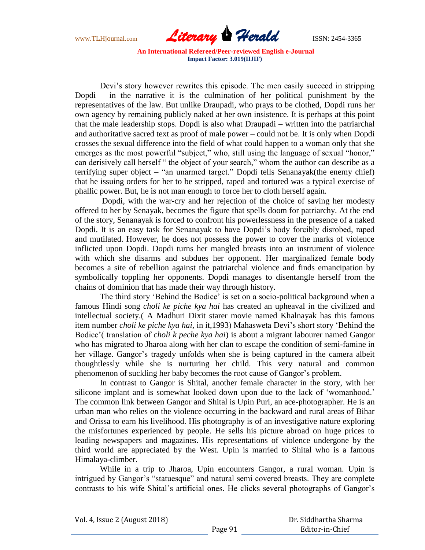

Devi"s story however rewrites this episode. The men easily succeed in stripping Dopdi – in the narrative it is the culmination of her political punishment by the representatives of the law. But unlike Draupadi, who prays to be clothed, Dopdi runs her own agency by remaining publicly naked at her own insistence. It is perhaps at this point that the male leadership stops. Dopdi is also what Draupadi – written into the patriarchal and authoritative sacred text as proof of male power – could not be. It is only when Dopdi crosses the sexual difference into the field of what could happen to a woman only that she emerges as the most powerful "subject," who, still using the language of sexual "honor," can derisively call herself " the object of your search," whom the author can describe as a terrifying super object – "an unarmed target." Dopdi tells Senanayak(the enemy chief) that he issuing orders for her to be stripped, raped and tortured was a typical exercise of phallic power. But, he is not man enough to force her to cloth herself again.

Dopdi, with the war-cry and her rejection of the choice of saving her modesty offered to her by Senayak, becomes the figure that spells doom for patriarchy. At the end of the story, Senanayak is forced to confront his powerlessness in the presence of a naked Dopdi. It is an easy task for Senanayak to have Dopdi"s body forcibly disrobed, raped and mutilated. However, he does not possess the power to cover the marks of violence inflicted upon Dopdi. Dopdi turns her mangled breasts into an instrument of violence with which she disarms and subdues her opponent. Her marginalized female body becomes a site of rebellion against the patriarchal violence and finds emancipation by symbolically toppling her opponents. Dopdi manages to disentangle herself from the chains of dominion that has made their way through history.

The third story "Behind the Bodice" is set on a socio-political background when a famous Hindi song *choli ke piche kya hai* has created an upheaval in the civilized and intellectual society.( A Madhuri Dixit starer movie named Khalnayak has this famous item number *choli ke piche kya hai,* in it,1993) Mahasweta Devi"s short story "Behind the Bodice"( translation of *choli k peche kya hai*) is about a migrant labourer named Gangor who has migrated to Jharoa along with her clan to escape the condition of semi-famine in her village. Gangor's tragedy unfolds when she is being captured in the camera albeit thoughtlessly while she is nurturing her child. This very natural and common phenomenon of suckling her baby becomes the root cause of Gangor"s problem.

In contrast to Gangor is Shital, another female character in the story, with her silicone implant and is somewhat looked down upon due to the lack of 'womanhood.' The common link between Gangor and Shital is Upin Puri, an ace-photographer. He is an urban man who relies on the violence occurring in the backward and rural areas of Bihar and Orissa to earn his livelihood. His photography is of an investigative nature exploring the misfortunes experienced by people. He sells his picture abroad on huge prices to leading newspapers and magazines. His representations of violence undergone by the third world are appreciated by the West. Upin is married to Shital who is a famous Himalaya-climber.

While in a trip to Jharoa, Upin encounters Gangor, a rural woman. Upin is intrigued by Gangor's "statuesque" and natural semi covered breasts. They are complete contrasts to his wife Shital's artificial ones. He clicks several photographs of Gangor's

Vol. 4, Issue 2 (August 2018)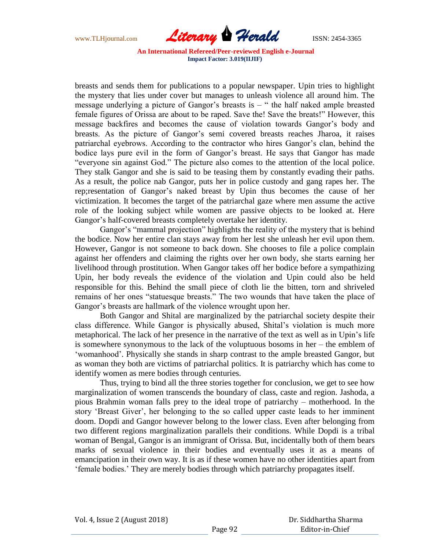

breasts and sends them for publications to a popular newspaper. Upin tries to highlight the mystery that lies under cover but manages to unleash violence all around him. The message underlying a picture of Gangor's breasts is  $-$  " the half naked ample breasted female figures of Orissa are about to be raped. Save the! Save the breats!" However, this message backfires and becomes the cause of violation towards Gangor's body and breasts. As the picture of Gangor's semi covered breasts reaches Jharoa, it raises patriarchal eyebrows. According to the contractor who hires Gangor"s clan, behind the bodice lays pure evil in the form of Gangor's breast. He says that Gangor has made "everyone sin against God." The picture also comes to the attention of the local police. They stalk Gangor and she is said to be teasing them by constantly evading their paths. As a result, the police nab Gangor, puts her in police custody and gang rapes her. The rep; resentation of Gangor's naked breast by Upin thus becomes the cause of her victimization. It becomes the target of the patriarchal gaze where men assume the active role of the looking subject while women are passive objects to be looked at. Here Gangor's half-covered breasts completely overtake her identity.

Gangor's "mammal projection" highlights the reality of the mystery that is behind the bodice. Now her entire clan stays away from her lest she unleash her evil upon them. However, Gangor is not someone to back down. She chooses to file a police complain against her offenders and claiming the rights over her own body, she starts earning her livelihood through prostitution. When Gangor takes off her bodice before a sympathizing Upin, her body reveals the evidence of the violation and Upin could also be held responsible for this. Behind the small piece of cloth lie the bitten, torn and shriveled remains of her ones "statuesque breasts." The two wounds that have taken the place of Gangor's breasts are hallmark of the violence wrought upon her.

Both Gangor and Shital are marginalized by the patriarchal society despite their class difference. While Gangor is physically abused, Shital"s violation is much more metaphorical. The lack of her presence in the narrative of the text as well as in Upin"s life is somewhere synonymous to the lack of the voluptuous bosoms in her – the emblem of 'womanhood'. Physically she stands in sharp contrast to the ample breasted Gangor, but as woman they both are victims of patriarchal politics. It is patriarchy which has come to identify women as mere bodies through centuries.

Thus, trying to bind all the three stories together for conclusion, we get to see how marginalization of women transcends the boundary of class, caste and region. Jashoda, a pious Brahmin woman falls prey to the ideal trope of patriarchy – motherhood. In the story "Breast Giver", her belonging to the so called upper caste leads to her imminent doom. Dopdi and Gangor however belong to the lower class. Even after belonging from two different regions marginalization parallels their conditions. While Dopdi is a tribal woman of Bengal, Gangor is an immigrant of Orissa. But, incidentally both of them bears marks of sexual violence in their bodies and eventually uses it as a means of emancipation in their own way. It is as if these women have no other identities apart from "female bodies." They are merely bodies through which patriarchy propagates itself.